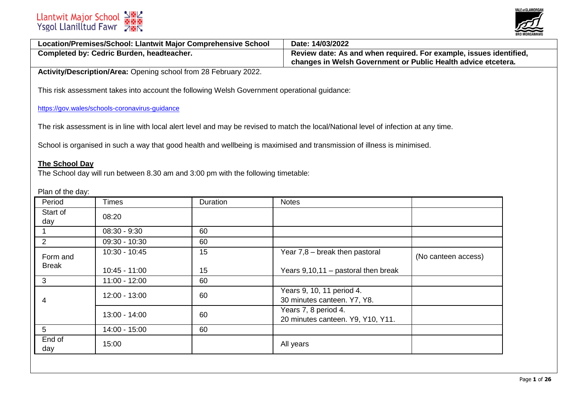

| Location/Premises/School: Llantwit Major Comprehensive School | Date: 14/03/2022                                                   |
|---------------------------------------------------------------|--------------------------------------------------------------------|
| <b>Completed by: Cedric Burden, headteacher.</b>              | Review date: As and when required. For example, issues identified, |
|                                                               | changes in Welsh Government or Public Health advice etcetera.      |

**Activity/Description/Area:** Opening school from 28 February 2022.

This risk assessment takes into account the following Welsh Government operational guidance:

<https://gov.wales/schools-coronavirus-guidance>

The risk assessment is in line with local alert level and may be revised to match the local/National level of infection at any time.

School is organised in such a way that good health and wellbeing is maximised and transmission of illness is minimised.

## **The School Day**

The School day will run between 8.30 am and 3:00 pm with the following timetable:

Plan of the day:

| Period          | <b>Times</b>    | Duration | <b>Notes</b>                                              |                     |
|-----------------|-----------------|----------|-----------------------------------------------------------|---------------------|
| Start of<br>day | 08:20           |          |                                                           |                     |
|                 | $08:30 - 9:30$  | 60       |                                                           |                     |
| $\overline{2}$  | 09:30 - 10:30   | 60       |                                                           |                     |
| Form and        | 10:30 - 10:45   | 15       | Year $7,8$ – break then pastoral                          | (No canteen access) |
| <b>Break</b>    | $10:45 - 11:00$ | 15       | Years $9,10,11$ – pastoral then break                     |                     |
| 3               | $11:00 - 12:00$ | 60       |                                                           |                     |
| 4               | 12:00 - 13:00   | 60       | Years 9, 10, 11 period 4.<br>30 minutes canteen. Y7, Y8.  |                     |
|                 | 13:00 - 14:00   | 60       | Years 7, 8 period 4.<br>20 minutes canteen. Y9, Y10, Y11. |                     |
| 5 <sup>5</sup>  | 14:00 - 15:00   | 60       |                                                           |                     |
| End of<br>day   | 15:00           |          | All years                                                 |                     |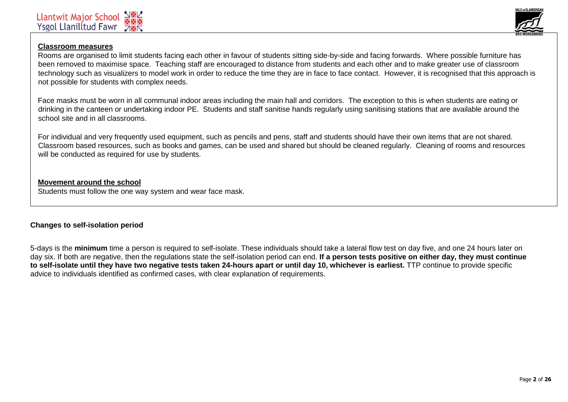

# **Classroom measures**

Rooms are organised to limit students facing each other in favour of students sitting side-by-side and facing forwards. Where possible furniture has been removed to maximise space. Teaching staff are encouraged to distance from students and each other and to make greater use of classroom technology such as visualizers to model work in order to reduce the time they are in face to face contact. However, it is recognised that this approach is not possible for students with complex needs.

Face masks must be worn in all communal indoor areas including the main hall and corridors. The exception to this is when students are eating or drinking in the canteen or undertaking indoor PE. Students and staff sanitise hands regularly using sanitising stations that are available around the school site and in all classrooms.

For individual and very frequently used equipment, such as pencils and pens, staff and students should have their own items that are not shared. Classroom based resources, such as books and games, can be used and shared but should be cleaned regularly. Cleaning of rooms and resources will be conducted as required for use by students.

# **Movement around the school**

Students must follow the one way system and wear face mask.

# **Changes to self-isolation period**

5-days is the **minimum** time a person is required to self-isolate. These individuals should take a lateral flow test on day five, and one 24 hours later on day six. If both are negative, then the regulations state the self-isolation period can end. **If a person tests positive on either day, they must continue to self-isolate until they have two negative tests taken 24-hours apart or until day 10, whichever is earliest.** TTP continue to provide specific advice to individuals identified as confirmed cases, with clear explanation of requirements.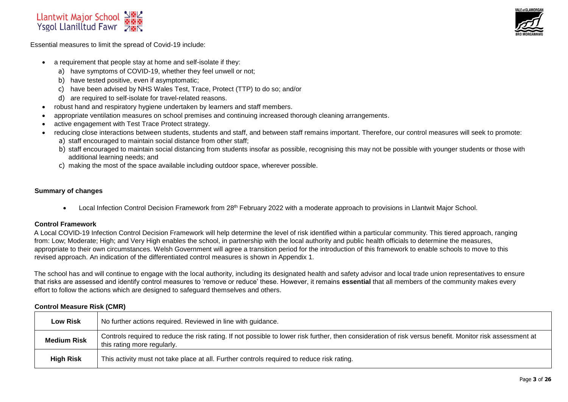



Essential measures to limit the spread of Covid-19 include:

- a requirement that people stay at home and self-isolate if they:
	- a) have symptoms of COVID-19, whether they feel unwell or not;
	- b) have tested positive, even if asymptomatic;
	- c) have been advised by NHS Wales Test, Trace, Protect (TTP) to do so; and/or
	- d) are required to self-isolate for travel-related reasons.
- robust hand and respiratory hygiene undertaken by learners and staff members.
- appropriate ventilation measures on school premises and continuing increased thorough cleaning arrangements.
- active engagement with Test Trace Protect strategy.
- reducing close interactions between students, students and staff, and between staff remains important. Therefore, our control measures will seek to promote:
	- a) staff encouraged to maintain social distance from other staff;
	- b) staff encouraged to maintain social distancing from students insofar as possible, recognising this may not be possible with younger students or those with additional learning needs; and
	- c) making the most of the space available including outdoor space, wherever possible.

#### **Summary of changes**

• Local Infection Control Decision Framework from 28<sup>th</sup> February 2022 with a moderate approach to provisions in Llantwit Major School.

## **Control Framework**

A Local COVID-19 Infection Control Decision Framework will help determine the level of risk identified within a particular community. This tiered approach, ranging from: Low; Moderate; High; and Very High enables the school, in partnership with the local authority and public health officials to determine the measures, appropriate to their own circumstances. Welsh Government will agree a transition period for the introduction of this framework to enable schools to move to this revised approach. An indication of the differentiated control measures is shown in Appendix 1.

The school has and will continue to engage with the local authority, including its designated health and safety advisor and local trade union representatives to ensure that risks are assessed and identify control measures to 'remove or reduce' these. However, it remains **essential** that all members of the community makes every effort to follow the actions which are designed to safeguard themselves and others.

## **Control Measure Risk (CMR)**

| <b>Low Risk</b>    | No further actions required. Reviewed in line with guidance.                                                                                                                             |
|--------------------|------------------------------------------------------------------------------------------------------------------------------------------------------------------------------------------|
| <b>Medium Risk</b> | Controls required to reduce the risk rating. If not possible to lower risk further, then consideration of risk versus benefit. Monitor risk assessment at<br>this rating more regularly. |
| <b>High Risk</b>   | This activity must not take place at all. Further controls required to reduce risk rating.                                                                                               |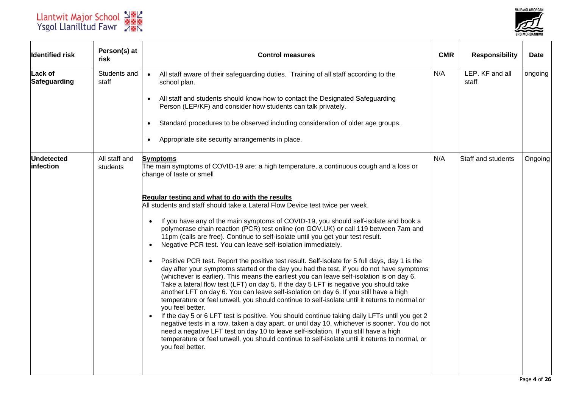



| <b>Identified risk</b>         | Person(s) at<br>risk      | <b>Control measures</b>                                                                                                                                                                                                                                                                                                                                                                                                                                                                                                                                                                                                                                                                                                                                                                                                                                                                                                                                                                                                                                                                                                                                                                                                                                                                                                                                                                                                                                                                                                    | <b>CMR</b> | <b>Responsibility</b>    | <b>Date</b> |
|--------------------------------|---------------------------|----------------------------------------------------------------------------------------------------------------------------------------------------------------------------------------------------------------------------------------------------------------------------------------------------------------------------------------------------------------------------------------------------------------------------------------------------------------------------------------------------------------------------------------------------------------------------------------------------------------------------------------------------------------------------------------------------------------------------------------------------------------------------------------------------------------------------------------------------------------------------------------------------------------------------------------------------------------------------------------------------------------------------------------------------------------------------------------------------------------------------------------------------------------------------------------------------------------------------------------------------------------------------------------------------------------------------------------------------------------------------------------------------------------------------------------------------------------------------------------------------------------------------|------------|--------------------------|-------------|
| <b>Lack of</b><br>Safeguarding | Students and<br>staff     | All staff aware of their safeguarding duties. Training of all staff according to the<br>$\bullet$<br>school plan.                                                                                                                                                                                                                                                                                                                                                                                                                                                                                                                                                                                                                                                                                                                                                                                                                                                                                                                                                                                                                                                                                                                                                                                                                                                                                                                                                                                                          | N/A        | LEP. KF and all<br>staff | ongoing     |
|                                |                           | All staff and students should know how to contact the Designated Safeguarding<br>$\bullet$<br>Person (LEP/KF) and consider how students can talk privately.                                                                                                                                                                                                                                                                                                                                                                                                                                                                                                                                                                                                                                                                                                                                                                                                                                                                                                                                                                                                                                                                                                                                                                                                                                                                                                                                                                |            |                          |             |
|                                |                           | Standard procedures to be observed including consideration of older age groups.                                                                                                                                                                                                                                                                                                                                                                                                                                                                                                                                                                                                                                                                                                                                                                                                                                                                                                                                                                                                                                                                                                                                                                                                                                                                                                                                                                                                                                            |            |                          |             |
|                                |                           | Appropriate site security arrangements in place.                                                                                                                                                                                                                                                                                                                                                                                                                                                                                                                                                                                                                                                                                                                                                                                                                                                                                                                                                                                                                                                                                                                                                                                                                                                                                                                                                                                                                                                                           |            |                          |             |
| <b>Undetected</b><br>infection | All staff and<br>students | <b>Symptoms</b><br>The main symptoms of COVID-19 are: a high temperature, a continuous cough and a loss or<br>change of taste or smell                                                                                                                                                                                                                                                                                                                                                                                                                                                                                                                                                                                                                                                                                                                                                                                                                                                                                                                                                                                                                                                                                                                                                                                                                                                                                                                                                                                     | N/A        | Staff and students       | Ongoing     |
|                                |                           | Regular testing and what to do with the results<br>All students and staff should take a Lateral Flow Device test twice per week.<br>If you have any of the main symptoms of COVID-19, you should self-isolate and book a<br>$\bullet$<br>polymerase chain reaction (PCR) test online (on GOV.UK) or call 119 between 7am and<br>11pm (calls are free). Continue to self-isolate until you get your test result.<br>Negative PCR test. You can leave self-isolation immediately.<br>$\bullet$<br>Positive PCR test. Report the positive test result. Self-isolate for 5 full days, day 1 is the<br>$\bullet$<br>day after your symptoms started or the day you had the test, if you do not have symptoms<br>(whichever is earlier). This means the earliest you can leave self-isolation is on day 6.<br>Take a lateral flow test (LFT) on day 5. If the day 5 LFT is negative you should take<br>another LFT on day 6. You can leave self-isolation on day 6. If you still have a high<br>temperature or feel unwell, you should continue to self-isolate until it returns to normal or<br>you feel better.<br>If the day 5 or 6 LFT test is positive. You should continue taking daily LFTs until you get 2<br>negative tests in a row, taken a day apart, or until day 10, whichever is sooner. You do not<br>need a negative LFT test on day 10 to leave self-isolation. If you still have a high<br>temperature or feel unwell, you should continue to self-isolate until it returns to normal, or<br>you feel better. |            |                          |             |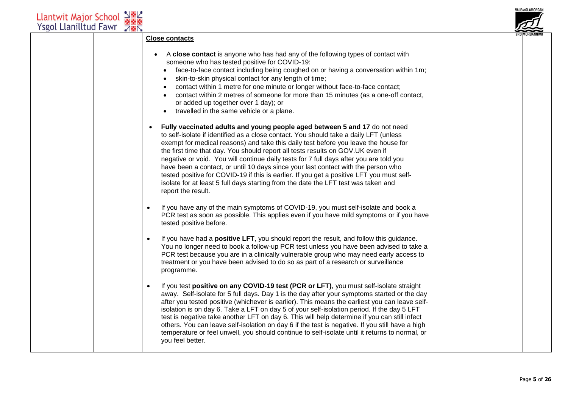

#### **Close contacts**

- A **close contact** is anyone who has had any of the following types of contact with someone who has tested positive for COVID-19:
	- face-to-face contact including being coughed on or having a conversation within 1m;
	- skin-to-skin physical contact for any length of time;
	- contact within 1 metre for one minute or longer without face-to-face contact;
	- contact within 2 metres of someone for more than 15 minutes (as a one-off contact, or added up together over 1 day); or
	- travelled in the same vehicle or a plane.
- **Fully vaccinated adults and young people aged between 5 and 17** do not need to self-isolate if identified as a close contact. You should take a daily LFT (unless exempt for medical reasons) and take this daily test before you leave the house for the first time that day. You should [report all tests results on GOV.UK](https://www.gov.uk/report-covid19-result) even if negative or void. You will continue daily tests for 7 full days after you are told you have been a contact, or until 10 days since your last contact with the person who tested positive for COVID-19 if this is earlier. If you get a positive LFT you must selfisolate for at least 5 full days starting from the date the LFT test was taken and report the result.
- If you have any of the main symptoms of COVID-19, you must self-isolate and [book a](https://gov.wales/get-tested-coronavirus-covid-19)  [PCR test](https://gov.wales/get-tested-coronavirus-covid-19) as soon as possible. This applies even if you have mild symptoms or if you have tested positive before.
- If you have had a **positive LFT**, you should [report the result,](https://www.gov.uk/report-covid19-result) and follow this guidance. You no longer need to book a follow-up PCR test unless you have been advised to take a PCR test because you are in a clinically vulnerable group who may need early access to treatment or you have been advised to do so as part of a research or surveillance programme.
- If you test **positive on any COVID-19 test (PCR or LFT)**, you must self-isolate straight away. Self-isolate for 5 full days. Day 1 is the day after your symptoms started or the day after you tested positive (whichever is earlier). This means the earliest you can leave selfisolation is on day 6. Take a LFT on day 5 of your self-isolation period. If the day 5 LFT test is negative take another LFT on day 6. This will help determine if you can still infect others. You can leave self-isolation on day 6 if the test is negative. If you still have a high temperature or feel unwell, you should continue to self-isolate until it returns to normal, or you feel better.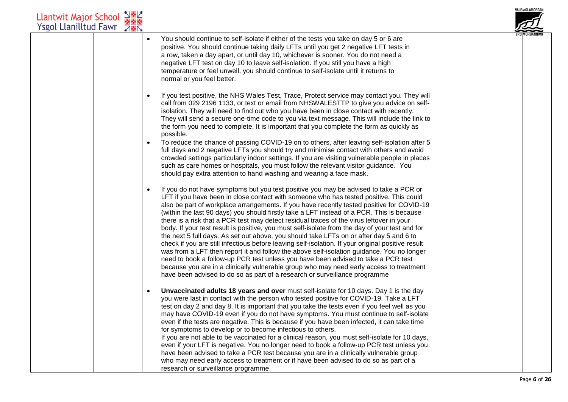| $\frac{1}{2}$ $\frac{1}{2}$<br><b>Llantwit Major School</b><br><b>Ysgol Llanilltud Fawr</b><br><b>785</b> |                                                                                                                                                                                                                                                                                                                                                                                                                                                                                                                                                                                                                                                                                                                                                                                                                                                                                                                                                                                                                                                                                                                                                 | <b>VALE of GLAMORGAN</b> |
|-----------------------------------------------------------------------------------------------------------|-------------------------------------------------------------------------------------------------------------------------------------------------------------------------------------------------------------------------------------------------------------------------------------------------------------------------------------------------------------------------------------------------------------------------------------------------------------------------------------------------------------------------------------------------------------------------------------------------------------------------------------------------------------------------------------------------------------------------------------------------------------------------------------------------------------------------------------------------------------------------------------------------------------------------------------------------------------------------------------------------------------------------------------------------------------------------------------------------------------------------------------------------|--------------------------|
|                                                                                                           | You should continue to self-isolate if either of the tests you take on day 5 or 6 are<br>$\bullet$<br>positive. You should continue taking daily LFTs until you get 2 negative LFT tests in<br>a row, taken a day apart, or until day 10, whichever is sooner. You do not need a<br>negative LFT test on day 10 to leave self-isolation. If you still you have a high<br>temperature or feel unwell, you should continue to self-isolate until it returns to<br>normal or you feel better.                                                                                                                                                                                                                                                                                                                                                                                                                                                                                                                                                                                                                                                      |                          |
|                                                                                                           | If you test positive, the NHS Wales Test, Trace, Protect service may contact you. They will<br>$\bullet$<br>call from 029 2196 1133, or text or email from NHSWALESTTP to give you advice on self-<br>isolation. They will need to find out who you have been in close contact with recently.<br>They will send a secure one-time code to you via text message. This will include the link to<br>the form you need to complete. It is important that you complete the form as quickly as<br>possible.                                                                                                                                                                                                                                                                                                                                                                                                                                                                                                                                                                                                                                           |                          |
|                                                                                                           | To reduce the chance of passing COVID-19 on to others, after leaving self-isolation after 5<br>$\bullet$<br>full days and 2 negative LFTs you should try and minimise contact with others and avoid<br>crowded settings particularly indoor settings. If you are visiting vulnerable people in places<br>such as care homes or hospitals, you must follow the relevant visitor guidance. You<br>should pay extra attention to hand washing and wearing a face mask.                                                                                                                                                                                                                                                                                                                                                                                                                                                                                                                                                                                                                                                                             |                          |
|                                                                                                           | If you do not have symptoms but you test positive you may be advised to take a PCR or<br>$\bullet$<br>LFT if you have been in close contact with someone who has tested positive. This could<br>also be part of workplace arrangements. If you have recently tested positive for COVID-19<br>(within the last 90 days) you should firstly take a LFT instead of a PCR. This is because<br>there is a risk that a PCR test may detect residual traces of the virus leftover in your<br>body. If your test result is positive, you must self-isolate from the day of your test and for<br>the next 5 full days. As set out above, you should take LFTs on or after day 5 and 6 to<br>check if you are still infectious before leaving self-isolation. If your original positive result<br>was from a LFT then report it and follow the above self-isolation guidance. You no longer<br>need to book a follow-up PCR test unless you have been advised to take a PCR test<br>because you are in a clinically vulnerable group who may need early access to treatment<br>have been advised to do so as part of a research or surveillance programme |                          |
|                                                                                                           | Unvaccinated adults 18 years and over must self-isolate for 10 days. Day 1 is the day<br>$\bullet$<br>you were last in contact with the person who tested positive for COVID-19. Take a LFT<br>test on day 2 and day 8. It is important that you take the tests even if you feel well as you<br>may have COVID-19 even if you do not have symptoms. You must continue to self-isolate<br>even if the tests are negative. This is because if you have been infected, it can take time<br>for symptoms to develop or to become infectious to others.<br>If you are not able to be vaccinated for a clinical reason, you must self-isolate for 10 days,<br>even if your LFT is negative. You no longer need to book a follow-up PCR test unless you<br>have been advised to take a PCR test because you are in a clinically vulnerable group<br>who may need early access to treatment or if have been advised to do so as part of a<br>research or surveillance programme.                                                                                                                                                                        |                          |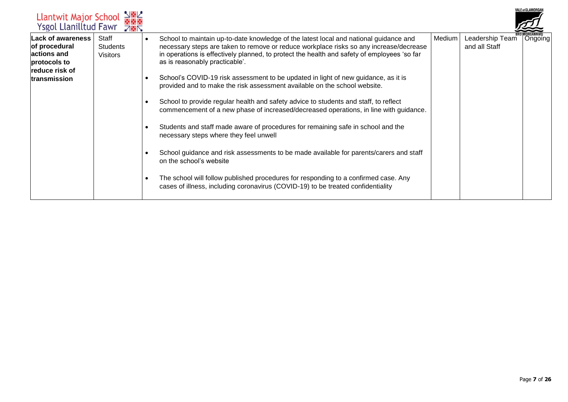| Llantwit Major School N图<br>Ysgol Llanilltud Fawr 7图                                                                                                      |                                                                                                                                                                                                                                                                                                                                                                                                                                                                                                                                                                                                                                                                                                                                                                                                                                                                                                                                                                                                                                                                                                    |        |                                  | <b>VALE of GLAMORGAI</b> |
|-----------------------------------------------------------------------------------------------------------------------------------------------------------|----------------------------------------------------------------------------------------------------------------------------------------------------------------------------------------------------------------------------------------------------------------------------------------------------------------------------------------------------------------------------------------------------------------------------------------------------------------------------------------------------------------------------------------------------------------------------------------------------------------------------------------------------------------------------------------------------------------------------------------------------------------------------------------------------------------------------------------------------------------------------------------------------------------------------------------------------------------------------------------------------------------------------------------------------------------------------------------------------|--------|----------------------------------|--------------------------|
| <b>Lack of awareness</b><br>Staff<br>of procedural<br><b>Students</b><br>actions and<br><b>Visitors</b><br>protocols to<br>reduce risk of<br>transmission | School to maintain up-to-date knowledge of the latest local and national guidance and<br>necessary steps are taken to remove or reduce workplace risks so any increase/decrease<br>in operations is effectively planned, to protect the health and safety of employees 'so far<br>as is reasonably practicable'.<br>School's COVID-19 risk assessment to be updated in light of new guidance, as it is<br>provided and to make the risk assessment available on the school website.<br>School to provide regular health and safety advice to students and staff, to reflect<br>commencement of a new phase of increased/decreased operations, in line with guidance.<br>Students and staff made aware of procedures for remaining safe in school and the<br>necessary steps where they feel unwell<br>School guidance and risk assessments to be made available for parents/carers and staff<br>on the school's website<br>The school will follow published procedures for responding to a confirmed case. Any<br>cases of illness, including coronavirus (COVID-19) to be treated confidentiality | Medium | Leadership Team<br>and all Staff | Ongoing                  |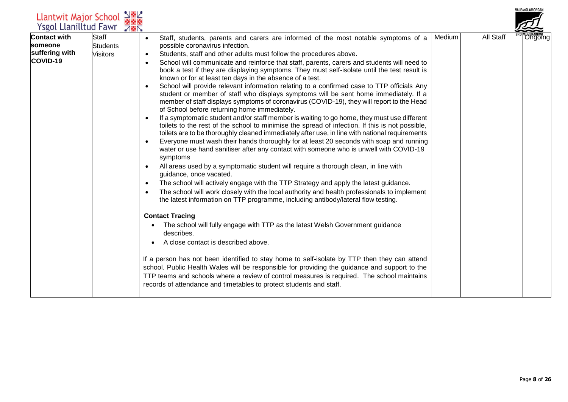| Llantwit Major School<br><b>Ysgol Llanilltud Fawr</b>               | <b>785</b>                                         |                                                                                                                                                                                                                                                                                                                                                                                                                                                                                                                                                                                                                                                                                                                                                                                                                                                                                                                                                                                                                                                                                                                                                                                                                                                                                                                                                                                                                                                                                                                                                                                                                                                                                                                                                                                                                                                                                                                                                                                                                                                                                                                                                                                                                                                                                                     |        |           | <b>VALE of GLAMORGAN</b> |
|---------------------------------------------------------------------|----------------------------------------------------|-----------------------------------------------------------------------------------------------------------------------------------------------------------------------------------------------------------------------------------------------------------------------------------------------------------------------------------------------------------------------------------------------------------------------------------------------------------------------------------------------------------------------------------------------------------------------------------------------------------------------------------------------------------------------------------------------------------------------------------------------------------------------------------------------------------------------------------------------------------------------------------------------------------------------------------------------------------------------------------------------------------------------------------------------------------------------------------------------------------------------------------------------------------------------------------------------------------------------------------------------------------------------------------------------------------------------------------------------------------------------------------------------------------------------------------------------------------------------------------------------------------------------------------------------------------------------------------------------------------------------------------------------------------------------------------------------------------------------------------------------------------------------------------------------------------------------------------------------------------------------------------------------------------------------------------------------------------------------------------------------------------------------------------------------------------------------------------------------------------------------------------------------------------------------------------------------------------------------------------------------------------------------------------------------------|--------|-----------|--------------------------|
| <b>Contact with</b><br>someone<br>suffering with<br><b>COVID-19</b> | <b>Staff</b><br><b>Students</b><br><b>Visitors</b> | Staff, students, parents and carers are informed of the most notable symptoms of a<br>$\bullet$<br>possible coronavirus infection.<br>Students, staff and other adults must follow the procedures above.<br>$\bullet$<br>School will communicate and reinforce that staff, parents, carers and students will need to<br>$\bullet$<br>book a test if they are displaying symptoms. They must self-isolate until the test result is<br>known or for at least ten days in the absence of a test.<br>School will provide relevant information relating to a confirmed case to TTP officials Any<br>student or member of staff who displays symptoms will be sent home immediately. If a<br>member of staff displays symptoms of coronavirus (COVID-19), they will report to the Head<br>of School before returning home immediately.<br>If a symptomatic student and/or staff member is waiting to go home, they must use different<br>toilets to the rest of the school to minimise the spread of infection. If this is not possible,<br>toilets are to be thoroughly cleaned immediately after use, in line with national requirements<br>Everyone must wash their hands thoroughly for at least 20 seconds with soap and running<br>$\bullet$<br>water or use hand sanitiser after any contact with someone who is unwell with COVID-19<br>symptoms<br>All areas used by a symptomatic student will require a thorough clean, in line with<br>guidance, once vacated.<br>The school will actively engage with the TTP Strategy and apply the latest guidance.<br>$\bullet$<br>The school will work closely with the local authority and health professionals to implement<br>the latest information on TTP programme, including antibody/lateral flow testing.<br><b>Contact Tracing</b><br>The school will fully engage with TTP as the latest Welsh Government guidance<br>describes.<br>A close contact is described above.<br>If a person has not been identified to stay home to self-isolate by TTP then they can attend<br>school. Public Health Wales will be responsible for providing the guidance and support to the<br>TTP teams and schools where a review of control measures is required. The school maintains<br>records of attendance and timetables to protect students and staff. | Medium | All Staff | <b>Ongoing</b>           |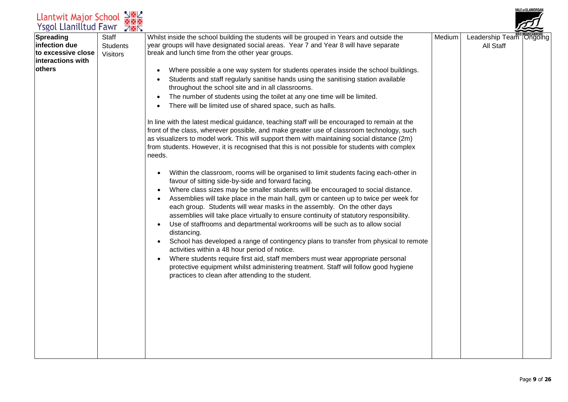| Spreading<br>Staff<br>Whilst inside the school building the students will be grouped in Years and outside the<br>Medium<br>Leadership Team Ongoing<br>infection due<br>year groups will have designated social areas. Year 7 and Year 8 will have separate<br><b>Students</b><br>All Staff<br>to excessive close<br>break and lunch time from the other year groups.<br><b>Visitors</b><br>linteractions with<br><b>lothers</b><br>Where possible a one way system for students operates inside the school buildings.<br>Students and staff regularly sanitise hands using the sanitising station available<br>throughout the school site and in all classrooms.<br>The number of students using the toilet at any one time will be limited.<br>There will be limited use of shared space, such as halls.<br>In line with the latest medical guidance, teaching staff will be encouraged to remain at the<br>front of the class, wherever possible, and make greater use of classroom technology, such<br>as visualizers to model work. This will support them with maintaining social distance (2m)<br>from students. However, it is recognised that this is not possible for students with complex<br>needs.<br>Within the classroom, rooms will be organised to limit students facing each-other in<br>favour of sitting side-by-side and forward facing. | Llantwit Major School<br>Ysgol Llanilltud Fawr | $\frac{1}{2}$ $\frac{1}{2}$ |                                                                                               |  | VALE of GLAMORGAN |
|--------------------------------------------------------------------------------------------------------------------------------------------------------------------------------------------------------------------------------------------------------------------------------------------------------------------------------------------------------------------------------------------------------------------------------------------------------------------------------------------------------------------------------------------------------------------------------------------------------------------------------------------------------------------------------------------------------------------------------------------------------------------------------------------------------------------------------------------------------------------------------------------------------------------------------------------------------------------------------------------------------------------------------------------------------------------------------------------------------------------------------------------------------------------------------------------------------------------------------------------------------------------------------------------------------------------------------------------------------------|------------------------------------------------|-----------------------------|-----------------------------------------------------------------------------------------------|--|-------------------|
| Assemblies will take place in the main hall, gym or canteen up to twice per week for<br>$\bullet$<br>each group. Students will wear masks in the assembly. On the other days<br>assemblies will take place virtually to ensure continuity of statutory responsibility.<br>Use of staffrooms and departmental workrooms will be such as to allow social<br>distancing.<br>School has developed a range of contingency plans to transfer from physical to remote<br>$\bullet$<br>activities within a 48 hour period of notice.<br>Where students require first aid, staff members must wear appropriate personal<br>$\bullet$<br>protective equipment whilst administering treatment. Staff will follow good hygiene<br>practices to clean after attending to the student.                                                                                                                                                                                                                                                                                                                                                                                                                                                                                                                                                                                     |                                                | <b>785</b>                  | Where class sizes may be smaller students will be encouraged to social distance.<br>$\bullet$ |  |                   |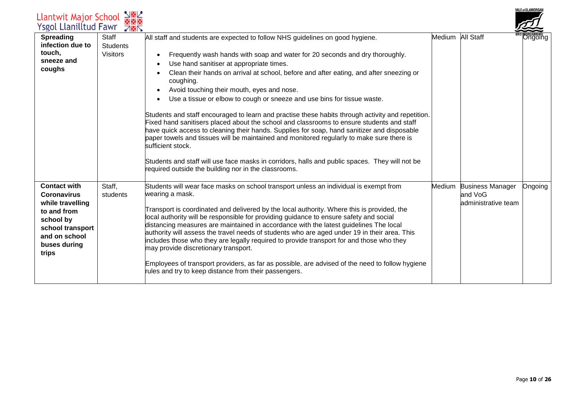| <b>Llantwit Major School</b><br><b>Ysgol Llanilltud Fawr</b>                                                                                            | $\frac{1}{2}$                               |                                                                                                                                                                                                                                                                                                                                                                                                                                                                                                                                                                                                                                                                                                                                                                                                                                                                                                                                                                                                                        |                  |                                                           | VALE of GLAMORGAN |
|---------------------------------------------------------------------------------------------------------------------------------------------------------|---------------------------------------------|------------------------------------------------------------------------------------------------------------------------------------------------------------------------------------------------------------------------------------------------------------------------------------------------------------------------------------------------------------------------------------------------------------------------------------------------------------------------------------------------------------------------------------------------------------------------------------------------------------------------------------------------------------------------------------------------------------------------------------------------------------------------------------------------------------------------------------------------------------------------------------------------------------------------------------------------------------------------------------------------------------------------|------------------|-----------------------------------------------------------|-------------------|
| <b>Spreading</b><br>infection due to<br>touch,<br>sneeze and<br>coughs                                                                                  | Staff<br><b>Students</b><br><b>Visitors</b> | All staff and students are expected to follow NHS guidelines on good hygiene.<br>Frequently wash hands with soap and water for 20 seconds and dry thoroughly.<br>Use hand sanitiser at appropriate times.<br>Clean their hands on arrival at school, before and after eating, and after sneezing or<br>coughing.<br>Avoid touching their mouth, eyes and nose.<br>Use a tissue or elbow to cough or sneeze and use bins for tissue waste.<br>Students and staff encouraged to learn and practise these habits through activity and repetition.<br>Fixed hand sanitisers placed about the school and classrooms to ensure students and staff<br>have quick access to cleaning their hands. Supplies for soap, hand sanitizer and disposable<br>paper towels and tissues will be maintained and monitored regularly to make sure there is<br>sufficient stock.<br>Students and staff will use face masks in corridors, halls and public spaces. They will not be<br>required outside the building nor in the classrooms. | Medium All Staff |                                                           | )ngoing           |
| <b>Contact with</b><br><b>Coronavirus</b><br>while travelling<br>to and from<br>school by<br>school transport<br>and on school<br>buses during<br>trips | Staff,<br>students                          | Students will wear face masks on school transport unless an individual is exempt from<br>wearing a mask.<br>Transport is coordinated and delivered by the local authority. Where this is provided, the<br>local authority will be responsible for providing guidance to ensure safety and social<br>distancing measures are maintained in accordance with the latest guidelines The local<br>authority will assess the travel needs of students who are aged under 19 in their area. This<br>includes those who they are legally required to provide transport for and those who they<br>may provide discretionary transport.<br>Employees of transport providers, as far as possible, are advised of the need to follow hygiene<br>rules and try to keep distance from their passengers.                                                                                                                                                                                                                              | Medium           | <b>Business Manager</b><br>and VoG<br>administrative team | Ongoing           |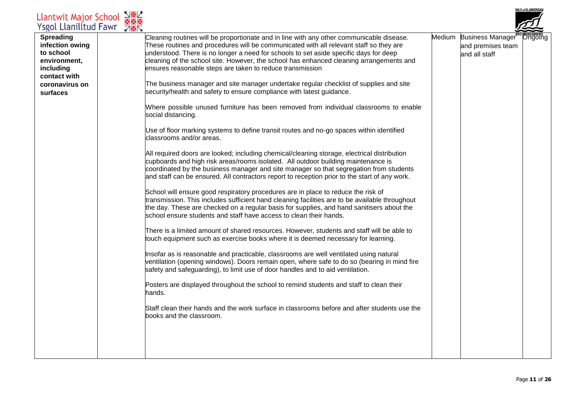| <b>Llantwit Major School</b><br><b>Ysgol Llanilltud Fawr</b>                                                                | $\frac{1}{2}$ $\frac{1}{2}$<br><b>785</b> |                                                                                                                                                                                                                                                                                                                                                                                                                                                                                                                                                                                                        |                                                                | VALE 01 GLAMUKGAI |
|-----------------------------------------------------------------------------------------------------------------------------|-------------------------------------------|--------------------------------------------------------------------------------------------------------------------------------------------------------------------------------------------------------------------------------------------------------------------------------------------------------------------------------------------------------------------------------------------------------------------------------------------------------------------------------------------------------------------------------------------------------------------------------------------------------|----------------------------------------------------------------|-------------------|
| <b>Spreading</b><br>infection owing<br>to school<br>environment,<br>including<br>contact with<br>coronavirus on<br>surfaces |                                           | Cleaning routines will be proportionate and in line with any other communicable disease.<br>These routines and procedures will be communicated with all relevant staff so they are<br>understood. There is no longer a need for schools to set aside specific days for deep<br>cleaning of the school site. However, the school has enhanced cleaning arrangements and<br>ensures reasonable steps are taken to reduce transmission<br>The business manager and site manager undertake regular checklist of supplies and site<br>security/health and safety to ensure compliance with latest guidance. | Medium Business Manager"<br>and premises team<br>and all staff | <b>"Ongoing</b>   |
|                                                                                                                             |                                           | Where possible unused furniture has been removed from individual classrooms to enable<br>social distancing.                                                                                                                                                                                                                                                                                                                                                                                                                                                                                            |                                                                |                   |
|                                                                                                                             |                                           | Use of floor marking systems to define transit routes and no-go spaces within identified<br>classrooms and/or areas.                                                                                                                                                                                                                                                                                                                                                                                                                                                                                   |                                                                |                   |
|                                                                                                                             |                                           | All required doors are looked; including chemical/cleaning storage, electrical distribution<br>cupboards and high risk areas/rooms isolated. All outdoor building maintenance is<br>coordinated by the business manager and site manager so that segregation from students<br>and staff can be ensured. All contractors report to reception prior to the start of any work.                                                                                                                                                                                                                            |                                                                |                   |
|                                                                                                                             |                                           | School will ensure good respiratory procedures are in place to reduce the risk of<br>transmission. This includes sufficient hand cleaning facilities are to be available throughout<br>the day. These are checked on a regular basis for supplies, and hand sanitisers about the<br>school ensure students and staff have access to clean their hands.                                                                                                                                                                                                                                                 |                                                                |                   |
|                                                                                                                             |                                           | There is a limited amount of shared resources. However, students and staff will be able to<br>touch equipment such as exercise books where it is deemed necessary for learning.                                                                                                                                                                                                                                                                                                                                                                                                                        |                                                                |                   |
|                                                                                                                             |                                           | Insofar as is reasonable and practicable, classrooms are well ventilated using natural<br>ventilation (opening windows). Doors remain open, where safe to do so (bearing in mind fire<br>safety and safeguarding), to limit use of door handles and to aid ventilation.                                                                                                                                                                                                                                                                                                                                |                                                                |                   |
|                                                                                                                             |                                           | Posters are displayed throughout the school to remind students and staff to clean their<br>hands.                                                                                                                                                                                                                                                                                                                                                                                                                                                                                                      |                                                                |                   |
|                                                                                                                             |                                           | Staff clean their hands and the work surface in classrooms before and after students use the<br>books and the classroom.                                                                                                                                                                                                                                                                                                                                                                                                                                                                               |                                                                |                   |
|                                                                                                                             |                                           |                                                                                                                                                                                                                                                                                                                                                                                                                                                                                                                                                                                                        |                                                                |                   |
|                                                                                                                             |                                           |                                                                                                                                                                                                                                                                                                                                                                                                                                                                                                                                                                                                        |                                                                |                   |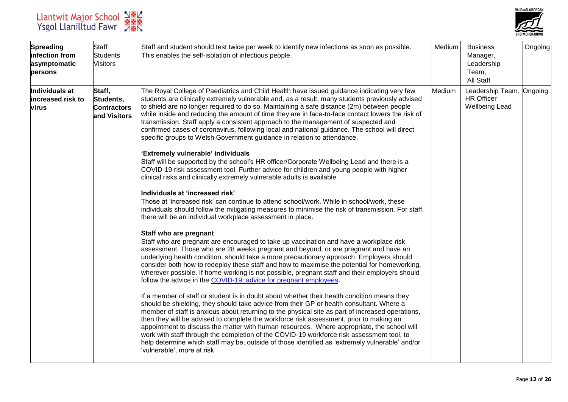



| <b>Spreading</b><br>infection from<br>asymptomatic<br>persons | <b>Staff</b><br><b>Students</b><br><b>Visitors</b>        | Staff and student should test twice per week to identify new infections as soon as possible.<br>This enables the self-isolation of infectious people.                                                                                                                                                                                                                                                                                                                                                                                                                                                                                                                                                                                                                                                                                                                                                                                                                                                                                                                                                                                                                                                                                                                                                                                                                                                                                                                                                                                                                                                                                                                                                                                                                                                                                                                                                                                                                                                                                                                                                                                                                                                                                                                                                                                                                                                                                                                                                                                                                              | Medium | <b>Business</b><br>Manager,<br>Leadership<br>Team,<br>All Staff        | Ongoing |
|---------------------------------------------------------------|-----------------------------------------------------------|------------------------------------------------------------------------------------------------------------------------------------------------------------------------------------------------------------------------------------------------------------------------------------------------------------------------------------------------------------------------------------------------------------------------------------------------------------------------------------------------------------------------------------------------------------------------------------------------------------------------------------------------------------------------------------------------------------------------------------------------------------------------------------------------------------------------------------------------------------------------------------------------------------------------------------------------------------------------------------------------------------------------------------------------------------------------------------------------------------------------------------------------------------------------------------------------------------------------------------------------------------------------------------------------------------------------------------------------------------------------------------------------------------------------------------------------------------------------------------------------------------------------------------------------------------------------------------------------------------------------------------------------------------------------------------------------------------------------------------------------------------------------------------------------------------------------------------------------------------------------------------------------------------------------------------------------------------------------------------------------------------------------------------------------------------------------------------------------------------------------------------------------------------------------------------------------------------------------------------------------------------------------------------------------------------------------------------------------------------------------------------------------------------------------------------------------------------------------------------------------------------------------------------------------------------------------------------|--------|------------------------------------------------------------------------|---------|
| Individuals at<br>increased risk to<br>virus                  | Staff,<br>Students,<br><b>Contractors</b><br>and Visitors | The Royal College of Paediatrics and Child Health have issued guidance indicating very few<br>students are clinically extremely vulnerable and, as a result, many students previously advised<br>to shield are no longer required to do so. Maintaining a safe distance (2m) between people<br>while inside and reducing the amount of time they are in face-to-face contact lowers the risk of<br>transmission. Staff apply a consistent approach to the management of suspected and<br>confirmed cases of coronavirus, following local and national guidance. The school will direct<br>specific groups to Welsh Government guidance in relation to attendance.<br>'Extremely vulnerable' individuals<br>Staff will be supported by the school's HR officer/Corporate Wellbeing Lead and there is a<br>COVID-19 risk assessment tool. Further advice for children and young people with higher<br>clinical risks and clinically extremely vulnerable adults is available.<br>Individuals at 'increased risk'<br>Those at 'increased risk' can continue to attend school/work. While in school/work, these<br>individuals should follow the mitigating measures to minimise the risk of transmission. For staff,<br>there will be an individual workplace assessment in place.<br>Staff who are pregnant<br>Staff who are pregnant are encouraged to take up vaccination and have a workplace risk<br>assessment. Those who are 28 weeks pregnant and beyond, or are pregnant and have an<br>underlying health condition, should take a more precautionary approach. Employers should<br>consider both how to redeploy these staff and how to maximise the potential for homeworking,<br>wherever possible. If home-working is not possible, pregnant staff and their employers should<br>follow the advice in the COVID-19: advice for pregnant employees.<br>If a member of staff or student is in doubt about whether their health condition means they<br>should be shielding, they should take advice from their GP or health consultant. Where a<br>member of staff is anxious about returning to the physical site as part of increased operations,<br>then they will be advised to complete the workforce risk assessment, prior to making an<br>appointment to discuss the matter with human resources. Where appropriate, the school will<br>work with staff through the completion of the COVID-19 workforce risk assessment tool, to<br>help determine which staff may be, outside of those identified as 'extremely vulnerable' and/or<br>'vulnerable', more at risk | Medium | Leadership Team, Ongoing<br><b>HR Officer</b><br><b>Wellbeing Lead</b> |         |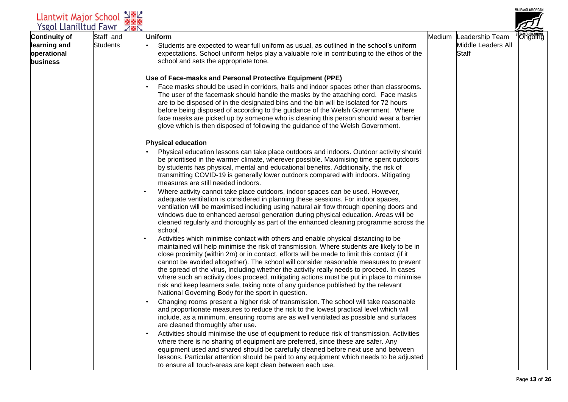| Llantwit Major School N图2<br>Ysgol Llanilltud Fawr 7图图          |                              |                                                                                                                                                                                                                                                                                                                                                                                                                                                                                                                                                                                                                                                                                                                                                                                                                                                                                                                                                                                                                                                                                                                                                                                                                                                                                                                                                                                                                                                                                                                                                                                                                                                                                                                                                                                                                                                                                                                                                                                                                                                                                                                                                                                                                                                                                                                                                                                       |                                                              | /ALE 01 GLAMURGAN |
|-----------------------------------------------------------------|------------------------------|---------------------------------------------------------------------------------------------------------------------------------------------------------------------------------------------------------------------------------------------------------------------------------------------------------------------------------------------------------------------------------------------------------------------------------------------------------------------------------------------------------------------------------------------------------------------------------------------------------------------------------------------------------------------------------------------------------------------------------------------------------------------------------------------------------------------------------------------------------------------------------------------------------------------------------------------------------------------------------------------------------------------------------------------------------------------------------------------------------------------------------------------------------------------------------------------------------------------------------------------------------------------------------------------------------------------------------------------------------------------------------------------------------------------------------------------------------------------------------------------------------------------------------------------------------------------------------------------------------------------------------------------------------------------------------------------------------------------------------------------------------------------------------------------------------------------------------------------------------------------------------------------------------------------------------------------------------------------------------------------------------------------------------------------------------------------------------------------------------------------------------------------------------------------------------------------------------------------------------------------------------------------------------------------------------------------------------------------------------------------------------------|--------------------------------------------------------------|-------------------|
| <b>Continuity of</b><br>learning and<br>operational<br>business | Staff and<br><b>Students</b> | <b>Uniform</b><br>Students are expected to wear full uniform as usual, as outlined in the school's uniform<br>expectations. School uniform helps play a valuable role in contributing to the ethos of the<br>school and sets the appropriate tone.                                                                                                                                                                                                                                                                                                                                                                                                                                                                                                                                                                                                                                                                                                                                                                                                                                                                                                                                                                                                                                                                                                                                                                                                                                                                                                                                                                                                                                                                                                                                                                                                                                                                                                                                                                                                                                                                                                                                                                                                                                                                                                                                    | Medium Leadership Team<br>Middle Leaders All<br><b>Staff</b> | <b>DYNGANNWG</b>  |
|                                                                 |                              | Use of Face-masks and Personal Protective Equipment (PPE)<br>Face masks should be used in corridors, halls and indoor spaces other than classrooms.<br>The user of the facemask should handle the masks by the attaching cord. Face masks<br>are to be disposed of in the designated bins and the bin will be isolated for 72 hours<br>before being disposed of according to the guidance of the Welsh Government. Where<br>face masks are picked up by someone who is cleaning this person should wear a barrier<br>glove which is then disposed of following the guidance of the Welsh Government.                                                                                                                                                                                                                                                                                                                                                                                                                                                                                                                                                                                                                                                                                                                                                                                                                                                                                                                                                                                                                                                                                                                                                                                                                                                                                                                                                                                                                                                                                                                                                                                                                                                                                                                                                                                  |                                                              |                   |
|                                                                 |                              | <b>Physical education</b><br>Physical education lessons can take place outdoors and indoors. Outdoor activity should<br>be prioritised in the warmer climate, wherever possible. Maximising time spent outdoors<br>by students has physical, mental and educational benefits. Additionally, the risk of<br>transmitting COVID-19 is generally lower outdoors compared with indoors. Mitigating<br>measures are still needed indoors.<br>Where activity cannot take place outdoors, indoor spaces can be used. However,<br>adequate ventilation is considered in planning these sessions. For indoor spaces,<br>ventilation will be maximised including using natural air flow through opening doors and<br>windows due to enhanced aerosol generation during physical education. Areas will be<br>cleaned regularly and thoroughly as part of the enhanced cleaning programme across the<br>school.<br>Activities which minimise contact with others and enable physical distancing to be<br>maintained will help minimise the risk of transmission. Where students are likely to be in<br>close proximity (within 2m) or in contact, efforts will be made to limit this contact (if it<br>cannot be avoided altogether). The school will consider reasonable measures to prevent<br>the spread of the virus, including whether the activity really needs to proceed. In cases<br>where such an activity does proceed, mitigating actions must be put in place to minimise<br>risk and keep learners safe, taking note of any guidance published by the relevant<br>National Governing Body for the sport in question.<br>Changing rooms present a higher risk of transmission. The school will take reasonable<br>and proportionate measures to reduce the risk to the lowest practical level which will<br>include, as a minimum, ensuring rooms are as well ventilated as possible and surfaces<br>are cleaned thoroughly after use.<br>Activities should minimise the use of equipment to reduce risk of transmission. Activities<br>$\bullet$<br>where there is no sharing of equipment are preferred, since these are safer. Any<br>equipment used and shared should be carefully cleaned before next use and between<br>lessons. Particular attention should be paid to any equipment which needs to be adjusted<br>to ensure all touch-areas are kept clean between each use. |                                                              |                   |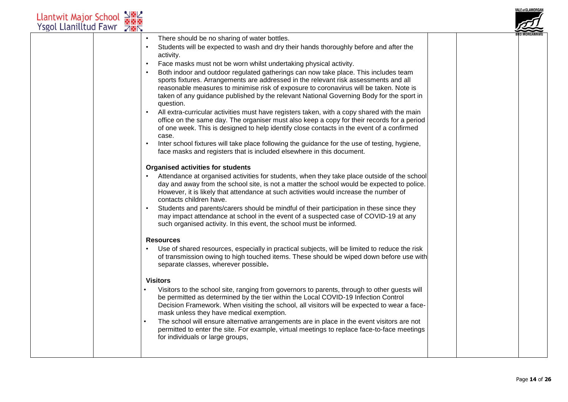| Llantwit Major School<br>Ysgol Llanilltud Fawr | $\frac{1}{2}$ $\frac{1}{2}$<br><b>785</b>                                                                                                                                                                                                                                                                                                                                                                                                                                                                                                                                                                                                                                                                                                                                                                                                                                                                                                                                                                                                                                              | <b>VALE of GLAMORGAN</b> |
|------------------------------------------------|----------------------------------------------------------------------------------------------------------------------------------------------------------------------------------------------------------------------------------------------------------------------------------------------------------------------------------------------------------------------------------------------------------------------------------------------------------------------------------------------------------------------------------------------------------------------------------------------------------------------------------------------------------------------------------------------------------------------------------------------------------------------------------------------------------------------------------------------------------------------------------------------------------------------------------------------------------------------------------------------------------------------------------------------------------------------------------------|--------------------------|
|                                                | There should be no sharing of water bottles.<br>Students will be expected to wash and dry their hands thoroughly before and after the<br>activity.<br>Face masks must not be worn whilst undertaking physical activity.<br>Both indoor and outdoor regulated gatherings can now take place. This includes team<br>sports fixtures. Arrangements are addressed in the relevant risk assessments and all<br>reasonable measures to minimise risk of exposure to coronavirus will be taken. Note is<br>taken of any guidance published by the relevant National Governing Body for the sport in<br>question.<br>All extra-curricular activities must have registers taken, with a copy shared with the main<br>office on the same day. The organiser must also keep a copy for their records for a period<br>of one week. This is designed to help identify close contacts in the event of a confirmed<br>case.<br>Inter school fixtures will take place following the guidance for the use of testing, hygiene,<br>face masks and registers that is included elsewhere in this document. |                          |
|                                                | <b>Organised activities for students</b><br>Attendance at organised activities for students, when they take place outside of the school<br>day and away from the school site, is not a matter the school would be expected to police.<br>However, it is likely that attendance at such activities would increase the number of<br>contacts children have.<br>Students and parents/carers should be mindful of their participation in these since they<br>may impact attendance at school in the event of a suspected case of COVID-19 at any<br>such organised activity. In this event, the school must be informed.                                                                                                                                                                                                                                                                                                                                                                                                                                                                   |                          |
|                                                | <b>Resources</b><br>Use of shared resources, especially in practical subjects, will be limited to reduce the risk<br>of transmission owing to high touched items. These should be wiped down before use with<br>separate classes, wherever possible.                                                                                                                                                                                                                                                                                                                                                                                                                                                                                                                                                                                                                                                                                                                                                                                                                                   |                          |
|                                                | <b>Visitors</b><br>Visitors to the school site, ranging from governors to parents, through to other guests will<br>be permitted as determined by the tier within the Local COVID-19 Infection Control<br>Decision Framework. When visiting the school, all visitors will be expected to wear a face-<br>mask unless they have medical exemption.<br>The school will ensure alternative arrangements are in place in the event visitors are not<br>permitted to enter the site. For example, virtual meetings to replace face-to-face meetings<br>for individuals or large groups,                                                                                                                                                                                                                                                                                                                                                                                                                                                                                                      |                          |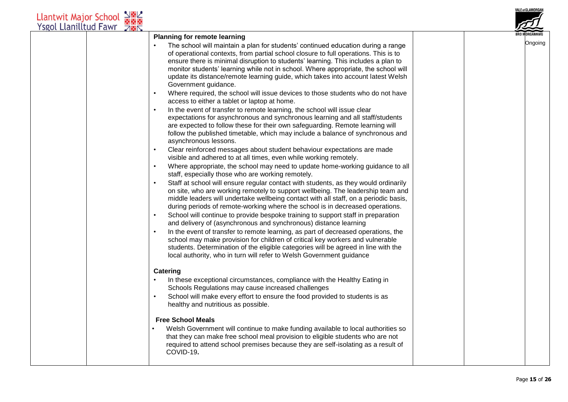| Llantwit Major School N图<br>Ysgol Llanilltud Fawr 78 |                                                                                                                                                                                                                                                                                                                                                                                                                                                                                                                                                                                                                                                                                                                                                                                                                                                                                                                                                                                                                                                                                                                                                                                                                                                                                                                                                                                                                                                                                                                                                                                                                                                                                                                                                                                                                                                                                                                                                                                                                                                                | /ALE 01 GLAMURGAN |
|------------------------------------------------------|----------------------------------------------------------------------------------------------------------------------------------------------------------------------------------------------------------------------------------------------------------------------------------------------------------------------------------------------------------------------------------------------------------------------------------------------------------------------------------------------------------------------------------------------------------------------------------------------------------------------------------------------------------------------------------------------------------------------------------------------------------------------------------------------------------------------------------------------------------------------------------------------------------------------------------------------------------------------------------------------------------------------------------------------------------------------------------------------------------------------------------------------------------------------------------------------------------------------------------------------------------------------------------------------------------------------------------------------------------------------------------------------------------------------------------------------------------------------------------------------------------------------------------------------------------------------------------------------------------------------------------------------------------------------------------------------------------------------------------------------------------------------------------------------------------------------------------------------------------------------------------------------------------------------------------------------------------------------------------------------------------------------------------------------------------------|-------------------|
|                                                      | <b>Planning for remote learning</b><br>The school will maintain a plan for students' continued education during a range<br>of operational contexts, from partial school closure to full operations. This is to<br>ensure there is minimal disruption to students' learning. This includes a plan to<br>monitor students' learning while not in school. Where appropriate, the school will<br>update its distance/remote learning guide, which takes into account latest Welsh<br>Government guidance.<br>Where required, the school will issue devices to those students who do not have<br>access to either a tablet or laptop at home.<br>In the event of transfer to remote learning, the school will issue clear<br>expectations for asynchronous and synchronous learning and all staff/students<br>are expected to follow these for their own safeguarding. Remote learning will<br>follow the published timetable, which may include a balance of synchronous and<br>asynchronous lessons.<br>Clear reinforced messages about student behaviour expectations are made<br>visible and adhered to at all times, even while working remotely.<br>Where appropriate, the school may need to update home-working guidance to all<br>staff, especially those who are working remotely.<br>Staff at school will ensure regular contact with students, as they would ordinarily<br>on site, who are working remotely to support wellbeing. The leadership team and<br>middle leaders will undertake wellbeing contact with all staff, on a periodic basis,<br>during periods of remote-working where the school is in decreased operations.<br>School will continue to provide bespoke training to support staff in preparation<br>and delivery of (asynchronous and synchronous) distance learning<br>In the event of transfer to remote learning, as part of decreased operations, the<br>school may make provision for children of critical key workers and vulnerable<br>students. Determination of the eligible categories will be agreed in line with the | Ongoing           |
|                                                      | local authority, who in turn will refer to Welsh Government guidance<br>Catering<br>In these exceptional circumstances, compliance with the Healthy Eating in<br>Schools Regulations may cause increased challenges<br>School will make every effort to ensure the food provided to students is as<br>healthy and nutritious as possible.<br><b>Free School Meals</b><br>Welsh Government will continue to make funding available to local authorities so<br>that they can make free school meal provision to eligible students who are not<br>required to attend school premises because they are self-isolating as a result of<br>COVID-19.                                                                                                                                                                                                                                                                                                                                                                                                                                                                                                                                                                                                                                                                                                                                                                                                                                                                                                                                                                                                                                                                                                                                                                                                                                                                                                                                                                                                                  |                   |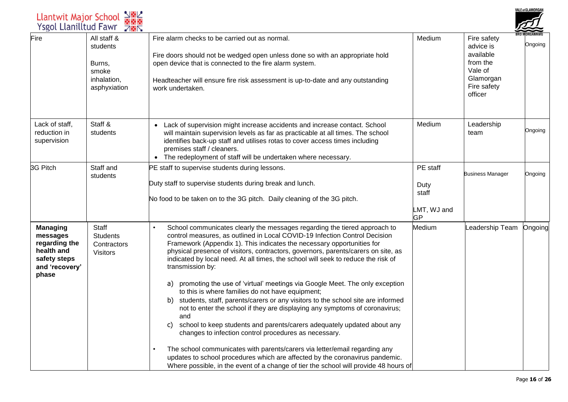|                                                                           |                                                                                                                                                                                                                                                                                                                                                                                                                                                                                                                                                                                                                                                                                                                                                                                                                                                                                                                                                                                                                                                                 |                                                       |                                                                                                     | /ALE 01 GLAMUKGAN |
|---------------------------------------------------------------------------|-----------------------------------------------------------------------------------------------------------------------------------------------------------------------------------------------------------------------------------------------------------------------------------------------------------------------------------------------------------------------------------------------------------------------------------------------------------------------------------------------------------------------------------------------------------------------------------------------------------------------------------------------------------------------------------------------------------------------------------------------------------------------------------------------------------------------------------------------------------------------------------------------------------------------------------------------------------------------------------------------------------------------------------------------------------------|-------------------------------------------------------|-----------------------------------------------------------------------------------------------------|-------------------|
| All staff &<br>students<br>Burns,<br>smoke<br>inhalation,<br>asphyxiation | Fire alarm checks to be carried out as normal.<br>Fire doors should not be wedged open unless done so with an appropriate hold<br>open device that is connected to the fire alarm system.<br>Headteacher will ensure fire risk assessment is up-to-date and any outstanding<br>work undertaken.                                                                                                                                                                                                                                                                                                                                                                                                                                                                                                                                                                                                                                                                                                                                                                 | Medium                                                | Fire safety<br>advice is<br>available<br>from the<br>Vale of<br>Glamorgan<br>Fire safety<br>officer | Ongoing           |
| Staff &<br>students                                                       | Lack of supervision might increase accidents and increase contact. School<br>will maintain supervision levels as far as practicable at all times. The school<br>identifies back-up staff and utilises rotas to cover access times including<br>premises staff / cleaners.<br>• The redeployment of staff will be undertaken where necessary.                                                                                                                                                                                                                                                                                                                                                                                                                                                                                                                                                                                                                                                                                                                    | Medium                                                | Leadership<br>team                                                                                  | Ongoing           |
| Staff and<br>students                                                     | PE staff to supervise students during lessons.<br>Duty staff to supervise students during break and lunch.<br>No food to be taken on to the 3G pitch. Daily cleaning of the 3G pitch.                                                                                                                                                                                                                                                                                                                                                                                                                                                                                                                                                                                                                                                                                                                                                                                                                                                                           | PE staff<br>Duty<br>staff<br>LMT, WJ and<br><b>GP</b> | <b>Business Manager</b>                                                                             | Ongoing           |
| Staff<br><b>Students</b><br>Contractors<br><b>Visitors</b>                | School communicates clearly the messages regarding the tiered approach to<br>control measures, as outlined in Local COVID-19 Infection Control Decision<br>Framework (Appendix 1). This indicates the necessary opportunities for<br>physical presence of visitors, contractors, governors, parents/carers on site, as<br>indicated by local need. At all times, the school will seek to reduce the risk of<br>transmission by:<br>promoting the use of 'virtual' meetings via Google Meet. The only exception<br>a)<br>to this is where families do not have equipment;<br>students, staff, parents/carers or any visitors to the school site are informed<br>b)<br>not to enter the school if they are displaying any symptoms of coronavirus;<br>and<br>school to keep students and parents/carers adequately updated about any<br>C)<br>changes to infection control procedures as necessary.<br>The school communicates with parents/carers via letter/email regarding any<br>updates to school procedures which are affected by the coronavirus pandemic. | Medium                                                | Leadership Team                                                                                     | Ongoing           |
|                                                                           | Llantwit Major School<br>Ysgol Llanilltud Fawr                                                                                                                                                                                                                                                                                                                                                                                                                                                                                                                                                                                                                                                                                                                                                                                                                                                                                                                                                                                                                  | 2882<br>8882<br>782                                   | Where possible, in the event of a change of tier the school will provide 48 hours of                |                   |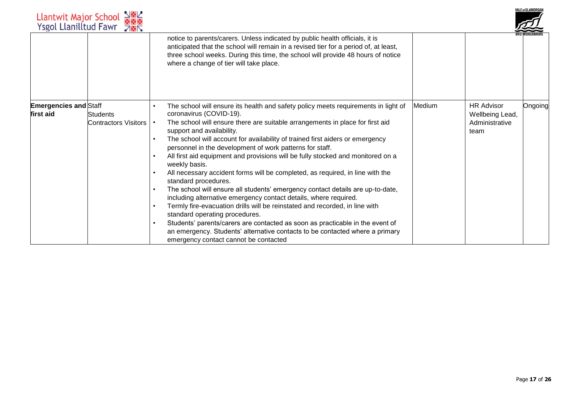|                                           | Llantwit Major School N图<br>Ysgol Llanilltud Fawr 7图 |                                                                                                                                                                                                                                                                                                     |        |                                      | <b>VALE of GLAMORGAN</b> |
|-------------------------------------------|------------------------------------------------------|-----------------------------------------------------------------------------------------------------------------------------------------------------------------------------------------------------------------------------------------------------------------------------------------------------|--------|--------------------------------------|--------------------------|
|                                           |                                                      | notice to parents/carers. Unless indicated by public health officials, it is<br>anticipated that the school will remain in a revised tier for a period of, at least,<br>three school weeks. During this time, the school will provide 48 hours of notice<br>where a change of tier will take place. |        |                                      |                          |
| <b>Emergencies and Staff</b><br>first aid | <b>Students</b>                                      | The school will ensure its health and safety policy meets requirements in light of<br>coronavirus (COVID-19).                                                                                                                                                                                       | Medium | <b>HR Advisor</b><br>Wellbeing Lead, | Ongoing                  |
|                                           | <b>Contractors Visitors</b>                          | The school will ensure there are suitable arrangements in place for first aid<br>support and availability.                                                                                                                                                                                          |        | Administrative<br>team               |                          |
|                                           |                                                      | The school will account for availability of trained first aiders or emergency<br>personnel in the development of work patterns for staff.                                                                                                                                                           |        |                                      |                          |
|                                           |                                                      | All first aid equipment and provisions will be fully stocked and monitored on a<br>weekly basis.                                                                                                                                                                                                    |        |                                      |                          |
|                                           |                                                      | All necessary accident forms will be completed, as required, in line with the<br>standard procedures.                                                                                                                                                                                               |        |                                      |                          |
|                                           |                                                      | The school will ensure all students' emergency contact details are up-to-date,<br>including alternative emergency contact details, where required.                                                                                                                                                  |        |                                      |                          |
|                                           |                                                      | Termly fire-evacuation drills will be reinstated and recorded, in line with<br>standard operating procedures.                                                                                                                                                                                       |        |                                      |                          |
|                                           |                                                      | Students' parents/carers are contacted as soon as practicable in the event of<br>an emergency. Students' alternative contacts to be contacted where a primary<br>emergency contact cannot be contacted                                                                                              |        |                                      |                          |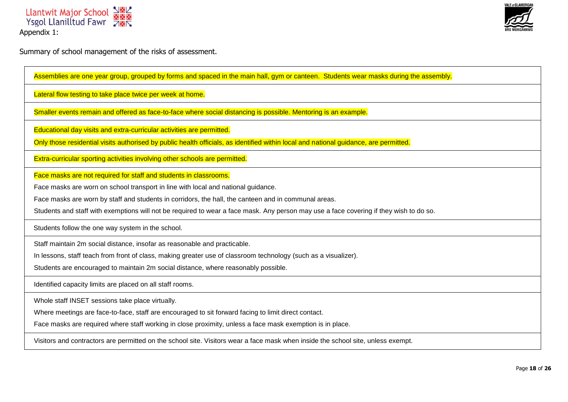



Summary of school management of the risks of assessment.

| Assemblies are one year group, grouped by forms and spaced in the main hall, gym or canteen. Students wear masks during the assembly.  |
|----------------------------------------------------------------------------------------------------------------------------------------|
| Lateral flow testing to take place twice per week at home.                                                                             |
| Smaller events remain and offered as face-to-face where social distancing is possible. Mentoring is an example.                        |
| Educational day visits and extra-curricular activities are permitted.                                                                  |
| Only those residential visits authorised by public health officials, as identified within local and national guidance, are permitted.  |
| Extra-curricular sporting activities involving other schools are permitted.                                                            |
| Face masks are not required for staff and students in classrooms.                                                                      |
| Face masks are worn on school transport in line with local and national guidance.                                                      |
| Face masks are worn by staff and students in corridors, the hall, the canteen and in communal areas.                                   |
| Students and staff with exemptions will not be required to wear a face mask. Any person may use a face covering if they wish to do so. |
| Students follow the one way system in the school.                                                                                      |
| Staff maintain 2m social distance, insofar as reasonable and practicable.                                                              |
| In lessons, staff teach from front of class, making greater use of classroom technology (such as a visualizer).                        |
| Students are encouraged to maintain 2m social distance, where reasonably possible.                                                     |
| Identified capacity limits are placed on all staff rooms.                                                                              |
| Whole staff INSET sessions take place virtually.                                                                                       |
| Where meetings are face-to-face, staff are encouraged to sit forward facing to limit direct contact.                                   |
| Face masks are required where staff working in close proximity, unless a face mask exemption is in place.                              |
| Visitors and contractors are permitted on the school site. Visitors wear a face mask when inside the school site, unless exempt.       |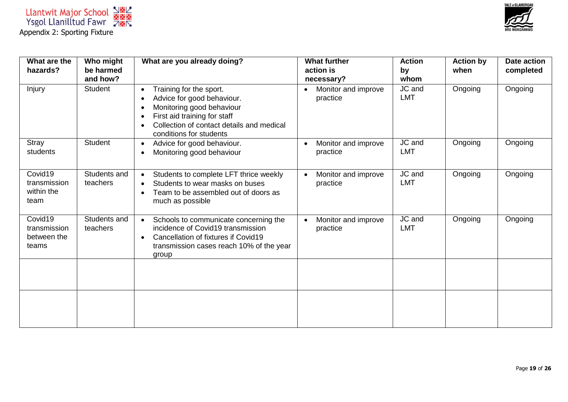



| What are the<br>hazards?                        | Who might<br>be harmed   | What are you already doing?                                                                                                                                                                                                                    | <b>What further</b><br>action is             | <b>Action</b><br>by  | <b>Action by</b><br>when | <b>Date action</b><br>completed |
|-------------------------------------------------|--------------------------|------------------------------------------------------------------------------------------------------------------------------------------------------------------------------------------------------------------------------------------------|----------------------------------------------|----------------------|--------------------------|---------------------------------|
|                                                 | and how?                 |                                                                                                                                                                                                                                                | necessary?                                   | whom                 |                          |                                 |
| Injury                                          | <b>Student</b>           | Training for the sport.<br>$\bullet$<br>Advice for good behaviour.<br>$\bullet$<br>Monitoring good behaviour<br>$\bullet$<br>First aid training for staff<br>$\bullet$<br>Collection of contact details and medical<br>conditions for students | Monitor and improve<br>$\bullet$<br>practice | JC and<br><b>LMT</b> | Ongoing                  | Ongoing                         |
| Stray<br>students                               | <b>Student</b>           | Advice for good behaviour.<br>$\bullet$<br>Monitoring good behaviour<br>$\bullet$                                                                                                                                                              | Monitor and improve<br>$\bullet$<br>practice | JC and<br><b>LMT</b> | Ongoing                  | Ongoing                         |
| Covid19<br>transmission<br>within the<br>team   | Students and<br>teachers | Students to complete LFT thrice weekly<br>$\bullet$<br>Students to wear masks on buses<br>$\bullet$<br>Team to be assembled out of doors as<br>$\bullet$<br>much as possible                                                                   | Monitor and improve<br>$\bullet$<br>practice | JC and<br><b>LMT</b> | Ongoing                  | Ongoing                         |
| Covid19<br>transmission<br>between the<br>teams | Students and<br>teachers | Schools to communicate concerning the<br>$\bullet$<br>incidence of Covid19 transmission<br>Cancellation of fixtures if Covid19<br>$\bullet$<br>transmission cases reach 10% of the year<br>group                                               | Monitor and improve<br>$\bullet$<br>practice | JC and<br><b>LMT</b> | Ongoing                  | Ongoing                         |
|                                                 |                          |                                                                                                                                                                                                                                                |                                              |                      |                          |                                 |
|                                                 |                          |                                                                                                                                                                                                                                                |                                              |                      |                          |                                 |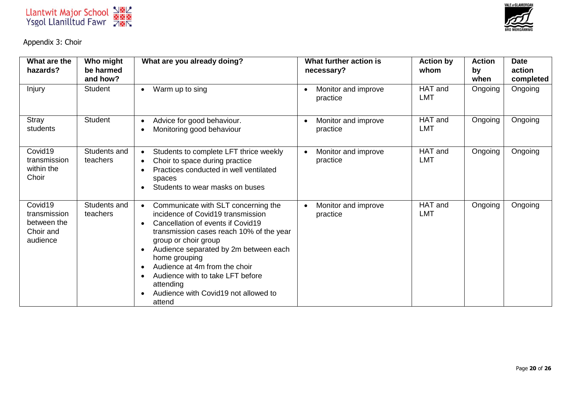

Appendix 3: Choir

| What are the<br>hazards?                                        | Who might<br>be harmed<br>and how? | What are you already doing?                                                                                                                                                                                                                                                                                                                                                                                                                      | What further action is<br>necessary?         | <b>Action by</b><br>whom | <b>Action</b><br>by<br>when | <b>Date</b><br>action<br>completed |
|-----------------------------------------------------------------|------------------------------------|--------------------------------------------------------------------------------------------------------------------------------------------------------------------------------------------------------------------------------------------------------------------------------------------------------------------------------------------------------------------------------------------------------------------------------------------------|----------------------------------------------|--------------------------|-----------------------------|------------------------------------|
| Injury                                                          | <b>Student</b>                     | Warm up to sing<br>$\bullet$                                                                                                                                                                                                                                                                                                                                                                                                                     | Monitor and improve<br>practice              | HAT and<br><b>LMT</b>    | Ongoing                     | Ongoing                            |
| Stray<br>students                                               | <b>Student</b>                     | Advice for good behaviour.<br>$\bullet$<br>Monitoring good behaviour<br>$\bullet$                                                                                                                                                                                                                                                                                                                                                                | Monitor and improve<br>practice              | HAT and<br><b>LMT</b>    | Ongoing                     | Ongoing                            |
| Covid19<br>transmission<br>within the<br>Choir                  | Students and<br>teachers           | Students to complete LFT thrice weekly<br>$\bullet$<br>Choir to space during practice<br>$\bullet$<br>Practices conducted in well ventilated<br>$\bullet$<br>spaces<br>Students to wear masks on buses                                                                                                                                                                                                                                           | Monitor and improve<br>$\bullet$<br>practice | HAT and<br><b>LMT</b>    | Ongoing                     | Ongoing                            |
| Covid19<br>transmission<br>between the<br>Choir and<br>audience | Students and<br>teachers           | Communicate with SLT concerning the<br>$\bullet$<br>incidence of Covid19 transmission<br>Cancellation of events if Covid19<br>$\bullet$<br>transmission cases reach 10% of the year<br>group or choir group<br>Audience separated by 2m between each<br>$\bullet$<br>home grouping<br>Audience at 4m from the choir<br>$\bullet$<br>Audience with to take LFT before<br>$\bullet$<br>attending<br>Audience with Covid19 not allowed to<br>attend | Monitor and improve<br>practice              | HAT and<br><b>LMT</b>    | Ongoing                     | Ongoing                            |

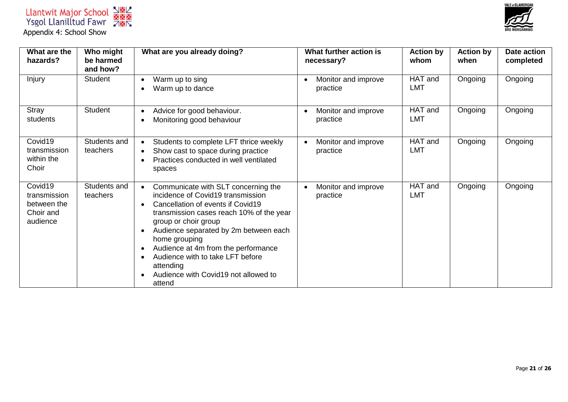



| What are the<br>hazards?                                        | Who might<br>be harmed<br>and how? | What are you already doing?                                                                                                                                                                                                                                                                                                                                                                                                                            | What further action is<br>necessary?         | <b>Action by</b><br>whom | <b>Action by</b><br>when | <b>Date action</b><br>completed |
|-----------------------------------------------------------------|------------------------------------|--------------------------------------------------------------------------------------------------------------------------------------------------------------------------------------------------------------------------------------------------------------------------------------------------------------------------------------------------------------------------------------------------------------------------------------------------------|----------------------------------------------|--------------------------|--------------------------|---------------------------------|
| Injury                                                          | <b>Student</b>                     | Warm up to sing<br>$\bullet$<br>Warm up to dance                                                                                                                                                                                                                                                                                                                                                                                                       | Monitor and improve<br>practice              | HAT and<br><b>LMT</b>    | Ongoing                  | Ongoing                         |
| Stray<br>students                                               | <b>Student</b>                     | Advice for good behaviour.<br>$\bullet$<br>Monitoring good behaviour<br>٠                                                                                                                                                                                                                                                                                                                                                                              | Monitor and improve<br>$\bullet$<br>practice | HAT and<br><b>LMT</b>    | Ongoing                  | Ongoing                         |
| Covid19<br>transmission<br>within the<br>Choir                  | Students and<br>teachers           | Students to complete LFT thrice weekly<br>$\bullet$<br>Show cast to space during practice<br>$\bullet$<br>Practices conducted in well ventilated<br>spaces                                                                                                                                                                                                                                                                                             | Monitor and improve<br>$\bullet$<br>practice | HAT and<br><b>LMT</b>    | Ongoing                  | Ongoing                         |
| Covid19<br>transmission<br>between the<br>Choir and<br>audience | Students and<br>teachers           | Communicate with SLT concerning the<br>$\bullet$<br>incidence of Covid19 transmission<br>Cancellation of events if Covid19<br>$\bullet$<br>transmission cases reach 10% of the year<br>group or choir group<br>Audience separated by 2m between each<br>$\bullet$<br>home grouping<br>Audience at 4m from the performance<br>$\bullet$<br>Audience with to take LFT before<br>$\bullet$<br>attending<br>Audience with Covid19 not allowed to<br>attend | Monitor and improve<br>$\bullet$<br>practice | HAT and<br><b>LMT</b>    | Ongoing                  | Ongoing                         |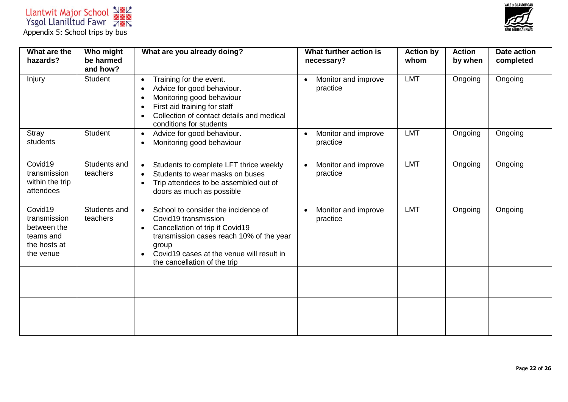

| What are the<br>hazards?                                                         | Who might<br>be harmed<br>and how? | What are you already doing?                                                                                                                                                                                                                                             | What further action is<br>necessary?         | <b>Action by</b><br>whom | <b>Action</b><br>by when | <b>Date action</b><br>completed |
|----------------------------------------------------------------------------------|------------------------------------|-------------------------------------------------------------------------------------------------------------------------------------------------------------------------------------------------------------------------------------------------------------------------|----------------------------------------------|--------------------------|--------------------------|---------------------------------|
| Injury                                                                           | <b>Student</b>                     | Training for the event.<br>$\bullet$<br>Advice for good behaviour.<br>$\bullet$<br>Monitoring good behaviour<br>$\bullet$<br>First aid training for staff<br>$\bullet$<br>Collection of contact details and medical<br>$\bullet$<br>conditions for students             | Monitor and improve<br>$\bullet$<br>practice | <b>LMT</b>               | Ongoing                  | Ongoing                         |
| Stray<br>students                                                                | <b>Student</b>                     | Advice for good behaviour.<br>$\bullet$<br>Monitoring good behaviour<br>$\bullet$                                                                                                                                                                                       | Monitor and improve<br>$\bullet$<br>practice | <b>LMT</b>               | Ongoing                  | Ongoing                         |
| Covid19<br>transmission<br>within the trip<br>attendees                          | Students and<br>teachers           | Students to complete LFT thrice weekly<br>$\bullet$<br>Students to wear masks on buses<br>$\bullet$<br>Trip attendees to be assembled out of<br>doors as much as possible                                                                                               | Monitor and improve<br>practice              | <b>LMT</b>               | Ongoing                  | Ongoing                         |
| Covid19<br>transmission<br>between the<br>teams and<br>the hosts at<br>the venue | Students and<br>teachers           | School to consider the incidence of<br>$\bullet$<br>Covid19 transmission<br>Cancellation of trip if Covid19<br>$\bullet$<br>transmission cases reach 10% of the year<br>group<br>Covid19 cases at the venue will result in<br>$\bullet$<br>the cancellation of the trip | Monitor and improve<br>$\bullet$<br>practice | <b>LMT</b>               | Ongoing                  | Ongoing                         |
|                                                                                  |                                    |                                                                                                                                                                                                                                                                         |                                              |                          |                          |                                 |
|                                                                                  |                                    |                                                                                                                                                                                                                                                                         |                                              |                          |                          |                                 |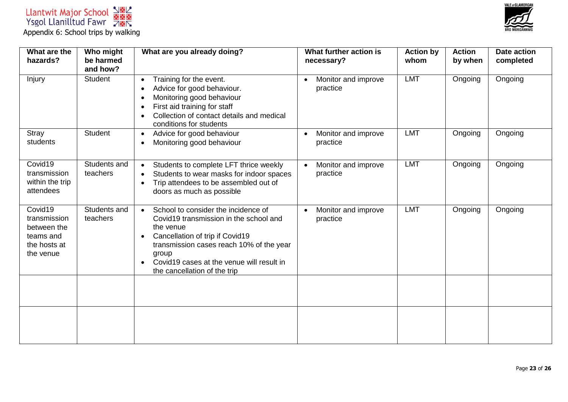

| What are the<br>hazards?                                                         | Who might<br>be harmed<br>and how? | What are you already doing?                                                                                                                                                                                                                                                                            | What further action is<br>necessary?         | <b>Action by</b><br>whom | <b>Action</b><br>by when | <b>Date action</b><br>completed |
|----------------------------------------------------------------------------------|------------------------------------|--------------------------------------------------------------------------------------------------------------------------------------------------------------------------------------------------------------------------------------------------------------------------------------------------------|----------------------------------------------|--------------------------|--------------------------|---------------------------------|
| Injury                                                                           | <b>Student</b>                     | Training for the event.<br>$\bullet$<br>Advice for good behaviour.<br>$\bullet$<br>Monitoring good behaviour<br>$\bullet$<br>First aid training for staff<br>$\bullet$<br>Collection of contact details and medical<br>$\bullet$<br>conditions for students                                            | Monitor and improve<br>practice              | <b>LMT</b>               | Ongoing                  | Ongoing                         |
| Stray<br>students                                                                | <b>Student</b>                     | Advice for good behaviour<br>$\bullet$<br>Monitoring good behaviour<br>$\bullet$                                                                                                                                                                                                                       | Monitor and improve<br>$\bullet$<br>practice | <b>LMT</b>               | Ongoing                  | Ongoing                         |
| Covid19<br>transmission<br>within the trip<br>attendees                          | Students and<br>teachers           | Students to complete LFT thrice weekly<br>$\bullet$<br>Students to wear masks for indoor spaces<br>$\bullet$<br>Trip attendees to be assembled out of<br>$\bullet$<br>doors as much as possible                                                                                                        | Monitor and improve<br>$\bullet$<br>practice | <b>LMT</b>               | Ongoing                  | Ongoing                         |
| Covid19<br>transmission<br>between the<br>teams and<br>the hosts at<br>the venue | Students and<br>teachers           | School to consider the incidence of<br>$\bullet$<br>Covid19 transmission in the school and<br>the venue<br>Cancellation of trip if Covid19<br>$\bullet$<br>transmission cases reach 10% of the year<br>group<br>Covid19 cases at the venue will result in<br>$\bullet$<br>the cancellation of the trip | Monitor and improve<br>practice              | <b>LMT</b>               | Ongoing                  | Ongoing                         |
|                                                                                  |                                    |                                                                                                                                                                                                                                                                                                        |                                              |                          |                          |                                 |
|                                                                                  |                                    |                                                                                                                                                                                                                                                                                                        |                                              |                          |                          |                                 |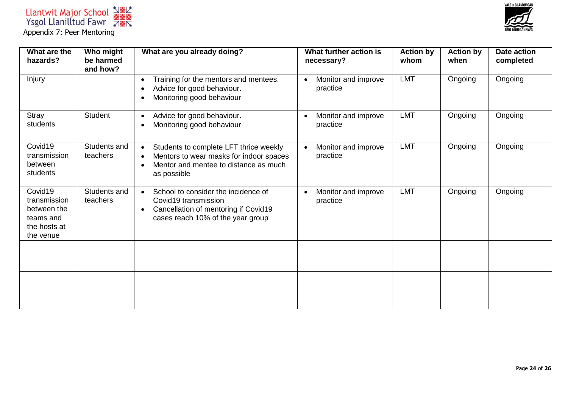



| What are the<br>hazards?                                                         | Who might<br>be harmed   | What are you already doing?                                                                                                                                                      | What further action is<br>necessary?         | <b>Action by</b><br>whom | <b>Action by</b><br>when | <b>Date action</b><br>completed |
|----------------------------------------------------------------------------------|--------------------------|----------------------------------------------------------------------------------------------------------------------------------------------------------------------------------|----------------------------------------------|--------------------------|--------------------------|---------------------------------|
|                                                                                  | and how?                 |                                                                                                                                                                                  |                                              |                          |                          |                                 |
| Injury                                                                           |                          | Training for the mentors and mentees.<br>$\bullet$<br>Advice for good behaviour.<br>$\bullet$<br>Monitoring good behaviour<br>$\bullet$                                          | Monitor and improve<br>$\bullet$<br>practice | <b>LMT</b>               | Ongoing                  | Ongoing                         |
| Stray<br>students                                                                | <b>Student</b>           | Advice for good behaviour.<br>$\bullet$<br>Monitoring good behaviour<br>$\bullet$                                                                                                | Monitor and improve<br>$\bullet$<br>practice | <b>LMT</b>               | Ongoing                  | Ongoing                         |
| Covid19<br>transmission<br>between<br>students                                   | Students and<br>teachers | Students to complete LFT thrice weekly<br>$\bullet$<br>Mentors to wear masks for indoor spaces<br>$\bullet$<br>Mentor and mentee to distance as much<br>$\bullet$<br>as possible | Monitor and improve<br>practice              | <b>LMT</b>               | Ongoing                  | Ongoing                         |
| Covid19<br>transmission<br>between the<br>teams and<br>the hosts at<br>the venue | Students and<br>teachers | School to consider the incidence of<br>$\bullet$<br>Covid19 transmission<br>Cancellation of mentoring if Covid19<br>$\bullet$<br>cases reach 10% of the year group               | Monitor and improve<br>$\bullet$<br>practice | <b>LMT</b>               | Ongoing                  | Ongoing                         |
|                                                                                  |                          |                                                                                                                                                                                  |                                              |                          |                          |                                 |
|                                                                                  |                          |                                                                                                                                                                                  |                                              |                          |                          |                                 |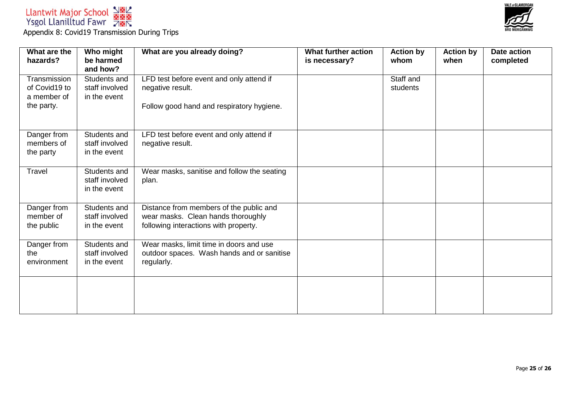



| What are the<br>hazards?                                   | Who might<br>be harmed<br>and how?             | What are you already doing?                                                                                            | What further action<br>is necessary? | <b>Action by</b><br>whom | <b>Action by</b><br>when | <b>Date action</b><br>completed |
|------------------------------------------------------------|------------------------------------------------|------------------------------------------------------------------------------------------------------------------------|--------------------------------------|--------------------------|--------------------------|---------------------------------|
| Transmission<br>of Covid19 to<br>a member of<br>the party. | Students and<br>staff involved<br>in the event | LFD test before event and only attend if<br>negative result.<br>Follow good hand and respiratory hygiene.              |                                      | Staff and<br>students    |                          |                                 |
| Danger from<br>members of<br>the party                     | Students and<br>staff involved<br>in the event | LFD test before event and only attend if<br>negative result.                                                           |                                      |                          |                          |                                 |
| Travel                                                     | Students and<br>staff involved<br>in the event | Wear masks, sanitise and follow the seating<br>plan.                                                                   |                                      |                          |                          |                                 |
| Danger from<br>member of<br>the public                     | Students and<br>staff involved<br>in the event | Distance from members of the public and<br>wear masks. Clean hands thoroughly<br>following interactions with property. |                                      |                          |                          |                                 |
| Danger from<br>the<br>environment                          | Students and<br>staff involved<br>in the event | Wear masks, limit time in doors and use<br>outdoor spaces. Wash hands and or sanitise<br>regularly.                    |                                      |                          |                          |                                 |
|                                                            |                                                |                                                                                                                        |                                      |                          |                          |                                 |